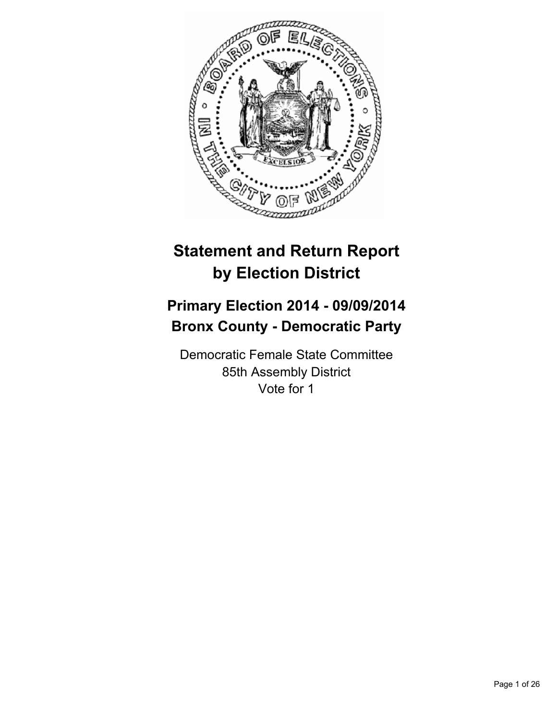

# **Statement and Return Report by Election District**

# **Primary Election 2014 - 09/09/2014 Bronx County - Democratic Party**

Democratic Female State Committee 85th Assembly District Vote for 1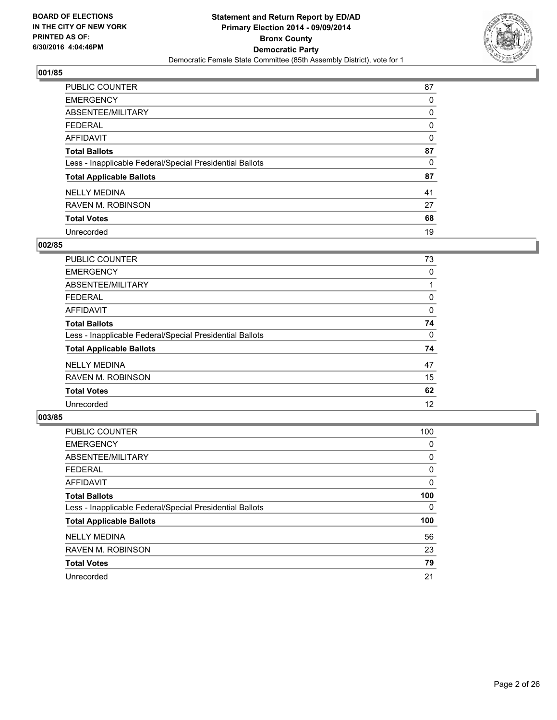

| PUBLIC COUNTER                                           | 87 |
|----------------------------------------------------------|----|
| <b>EMERGENCY</b>                                         | 0  |
| ABSENTEE/MILITARY                                        | 0  |
| <b>FEDERAL</b>                                           | 0  |
| <b>AFFIDAVIT</b>                                         | 0  |
| <b>Total Ballots</b>                                     | 87 |
| Less - Inapplicable Federal/Special Presidential Ballots | 0  |
| <b>Total Applicable Ballots</b>                          | 87 |
| <b>NELLY MEDINA</b>                                      | 41 |
| <b>RAVEN M. ROBINSON</b>                                 | 27 |
| <b>Total Votes</b>                                       | 68 |
| Unrecorded                                               | 19 |

#### **002/85**

| PUBLIC COUNTER                                           | 73 |
|----------------------------------------------------------|----|
| <b>EMERGENCY</b>                                         | 0  |
| ABSENTEE/MILITARY                                        |    |
| <b>FEDERAL</b>                                           | 0  |
| <b>AFFIDAVIT</b>                                         | 0  |
| <b>Total Ballots</b>                                     | 74 |
| Less - Inapplicable Federal/Special Presidential Ballots | 0  |
| <b>Total Applicable Ballots</b>                          | 74 |
| <b>NELLY MEDINA</b>                                      | 47 |
| <b>RAVEN M. ROBINSON</b>                                 | 15 |
| <b>Total Votes</b>                                       | 62 |
| Unrecorded                                               | 12 |
|                                                          |    |

| <b>PUBLIC COUNTER</b>                                    | 100 |
|----------------------------------------------------------|-----|
| <b>EMERGENCY</b>                                         | 0   |
| ABSENTEE/MILITARY                                        | 0   |
| <b>FEDERAL</b>                                           | 0   |
| AFFIDAVIT                                                | 0   |
| <b>Total Ballots</b>                                     | 100 |
| Less - Inapplicable Federal/Special Presidential Ballots | 0   |
| <b>Total Applicable Ballots</b>                          | 100 |
| <b>NELLY MEDINA</b>                                      | 56  |
| <b>RAVEN M. ROBINSON</b>                                 | 23  |
| <b>Total Votes</b>                                       | 79  |
| Unrecorded                                               | 21  |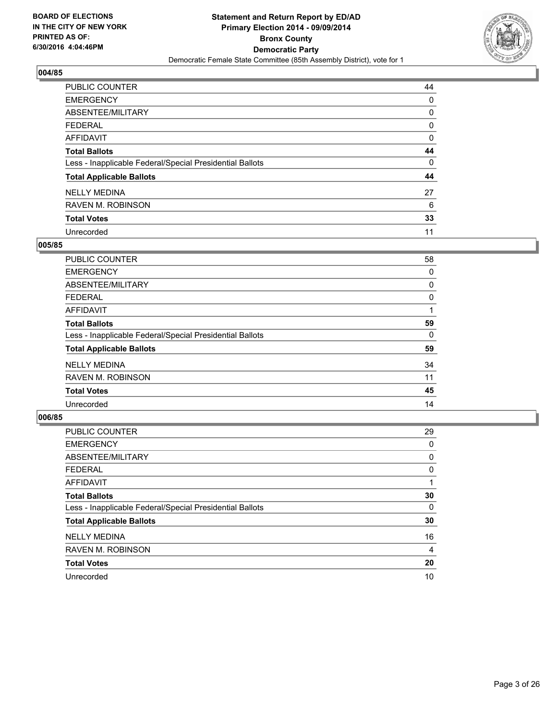

| PUBLIC COUNTER                                           | 44 |
|----------------------------------------------------------|----|
| <b>EMERGENCY</b>                                         | 0  |
| ABSENTEE/MILITARY                                        | 0  |
| <b>FEDERAL</b>                                           | 0  |
| <b>AFFIDAVIT</b>                                         | 0  |
| <b>Total Ballots</b>                                     | 44 |
| Less - Inapplicable Federal/Special Presidential Ballots | 0  |
| <b>Total Applicable Ballots</b>                          | 44 |
| <b>NELLY MEDINA</b>                                      | 27 |
| <b>RAVEN M. ROBINSON</b>                                 | 6  |
| <b>Total Votes</b>                                       | 33 |
| Unrecorded                                               | 11 |

#### **005/85**

| PUBLIC COUNTER                                           | 58 |
|----------------------------------------------------------|----|
| <b>EMERGENCY</b>                                         | 0  |
| ABSENTEE/MILITARY                                        | 0  |
| <b>FEDERAL</b>                                           | 0  |
| <b>AFFIDAVIT</b>                                         |    |
| <b>Total Ballots</b>                                     | 59 |
| Less - Inapplicable Federal/Special Presidential Ballots | 0  |
| <b>Total Applicable Ballots</b>                          | 59 |
| <b>NELLY MEDINA</b>                                      | 34 |
| <b>RAVEN M. ROBINSON</b>                                 | 11 |
| <b>Total Votes</b>                                       | 45 |
| Unrecorded                                               | 14 |

| <b>PUBLIC COUNTER</b>                                    | 29 |
|----------------------------------------------------------|----|
| <b>EMERGENCY</b>                                         | 0  |
| ABSENTEE/MILITARY                                        | 0  |
| <b>FEDERAL</b>                                           | 0  |
| AFFIDAVIT                                                |    |
| <b>Total Ballots</b>                                     | 30 |
| Less - Inapplicable Federal/Special Presidential Ballots | 0  |
| <b>Total Applicable Ballots</b>                          | 30 |
| <b>NELLY MEDINA</b>                                      | 16 |
| <b>RAVEN M. ROBINSON</b>                                 | 4  |
| <b>Total Votes</b>                                       | 20 |
| Unrecorded                                               | 10 |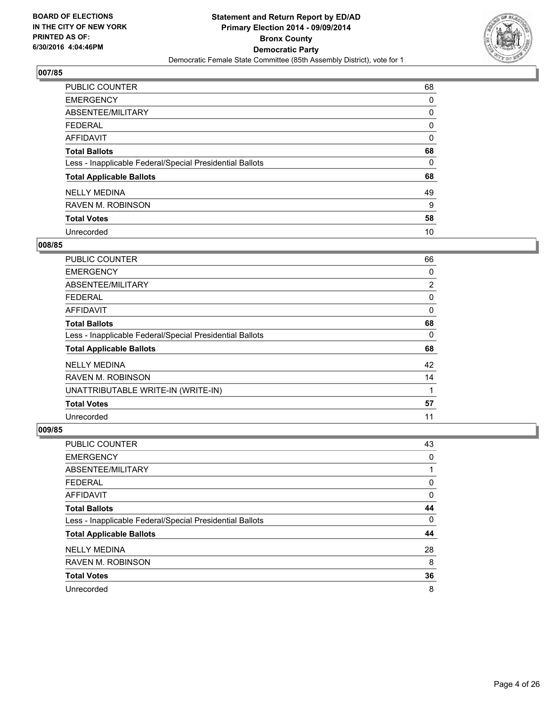

| PUBLIC COUNTER                                           | 68 |
|----------------------------------------------------------|----|
| <b>EMERGENCY</b>                                         | 0  |
| ABSENTEE/MILITARY                                        | 0  |
| <b>FEDERAL</b>                                           | 0  |
| <b>AFFIDAVIT</b>                                         | 0  |
| <b>Total Ballots</b>                                     | 68 |
| Less - Inapplicable Federal/Special Presidential Ballots | 0  |
| <b>Total Applicable Ballots</b>                          | 68 |
| <b>NELLY MEDINA</b>                                      | 49 |
| <b>RAVEN M. ROBINSON</b>                                 | 9  |
| <b>Total Votes</b>                                       | 58 |
| Unrecorded                                               | 10 |

#### **008/85**

| <b>PUBLIC COUNTER</b>                                    | 66             |
|----------------------------------------------------------|----------------|
| <b>EMERGENCY</b>                                         | 0              |
| ABSENTEE/MILITARY                                        | $\overline{2}$ |
| FEDERAL                                                  | 0              |
| AFFIDAVIT                                                | 0              |
| <b>Total Ballots</b>                                     | 68             |
| Less - Inapplicable Federal/Special Presidential Ballots | 0              |
| <b>Total Applicable Ballots</b>                          | 68             |
| <b>NELLY MEDINA</b>                                      | 42             |
| <b>RAVEN M. ROBINSON</b>                                 | 14             |
| UNATTRIBUTABLE WRITE-IN (WRITE-IN)                       | 1              |
| <b>Total Votes</b>                                       | 57             |
| Unrecorded                                               | 11             |

| <b>PUBLIC COUNTER</b>                                    | 43 |
|----------------------------------------------------------|----|
| <b>EMERGENCY</b>                                         | 0  |
| ABSENTEE/MILITARY                                        |    |
| <b>FEDERAL</b>                                           | 0  |
| AFFIDAVIT                                                | 0  |
| <b>Total Ballots</b>                                     | 44 |
| Less - Inapplicable Federal/Special Presidential Ballots | 0  |
| <b>Total Applicable Ballots</b>                          | 44 |
| <b>NELLY MEDINA</b>                                      | 28 |
| <b>RAVEN M. ROBINSON</b>                                 | 8  |
| <b>Total Votes</b>                                       | 36 |
| Unrecorded                                               | 8  |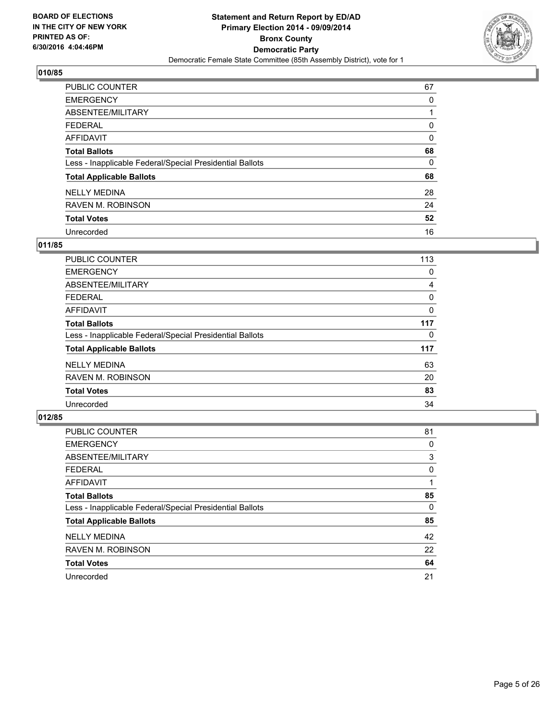

| PUBLIC COUNTER                                           | 67 |
|----------------------------------------------------------|----|
| <b>EMERGENCY</b>                                         | 0  |
| ABSENTEE/MILITARY                                        |    |
| <b>FEDERAL</b>                                           | 0  |
| <b>AFFIDAVIT</b>                                         | 0  |
| <b>Total Ballots</b>                                     | 68 |
| Less - Inapplicable Federal/Special Presidential Ballots | 0  |
| <b>Total Applicable Ballots</b>                          | 68 |
| <b>NELLY MEDINA</b>                                      | 28 |
| <b>RAVEN M. ROBINSON</b>                                 | 24 |
| <b>Total Votes</b>                                       | 52 |
| Unrecorded                                               | 16 |

#### **011/85**

| PUBLIC COUNTER                                           | 113 |
|----------------------------------------------------------|-----|
| <b>EMERGENCY</b>                                         | 0   |
| ABSENTEE/MILITARY                                        | 4   |
| FEDERAL                                                  | 0   |
| <b>AFFIDAVIT</b>                                         | 0   |
| <b>Total Ballots</b>                                     | 117 |
| Less - Inapplicable Federal/Special Presidential Ballots | 0   |
| <b>Total Applicable Ballots</b>                          | 117 |
| <b>NELLY MEDINA</b>                                      | 63  |
| <b>RAVEN M. ROBINSON</b>                                 | 20  |
| <b>Total Votes</b>                                       | 83  |
| Unrecorded                                               | 34  |

| PUBLIC COUNTER                                           | 81 |
|----------------------------------------------------------|----|
| <b>EMERGENCY</b>                                         | 0  |
| ABSENTEE/MILITARY                                        | 3  |
| <b>FEDERAL</b>                                           | 0  |
| <b>AFFIDAVIT</b>                                         |    |
| <b>Total Ballots</b>                                     | 85 |
| Less - Inapplicable Federal/Special Presidential Ballots | 0  |
| <b>Total Applicable Ballots</b>                          | 85 |
| <b>NELLY MEDINA</b>                                      | 42 |
| <b>RAVEN M. ROBINSON</b>                                 | 22 |
| <b>Total Votes</b>                                       | 64 |
| Unrecorded                                               | 21 |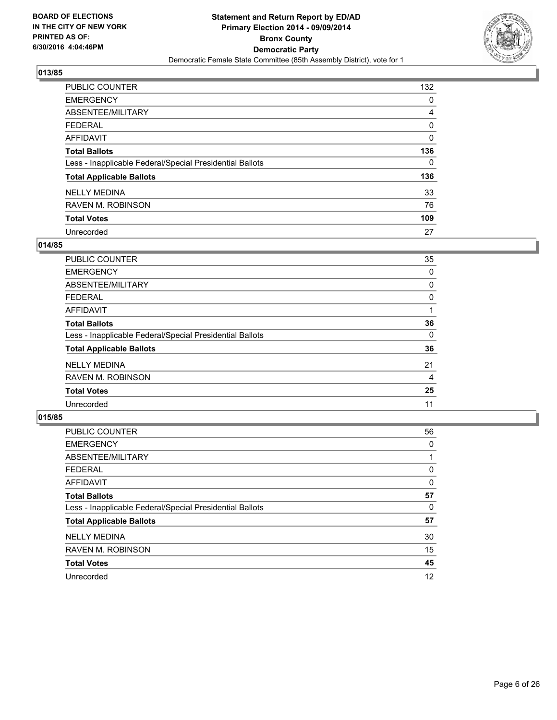

| PUBLIC COUNTER                                           | 132 |
|----------------------------------------------------------|-----|
| <b>EMERGENCY</b>                                         | 0   |
| ABSENTEE/MILITARY                                        | 4   |
| <b>FEDERAL</b>                                           | 0   |
| <b>AFFIDAVIT</b>                                         | 0   |
| <b>Total Ballots</b>                                     | 136 |
| Less - Inapplicable Federal/Special Presidential Ballots | 0   |
| <b>Total Applicable Ballots</b>                          | 136 |
| <b>NELLY MEDINA</b>                                      | 33  |
| <b>RAVEN M. ROBINSON</b>                                 | 76  |
| <b>Total Votes</b>                                       | 109 |
| Unrecorded                                               | 27  |

#### **014/85**

| PUBLIC COUNTER                                           | 35 |
|----------------------------------------------------------|----|
| <b>EMERGENCY</b>                                         | 0  |
| ABSENTEE/MILITARY                                        | 0  |
| <b>FEDERAL</b>                                           | 0  |
| <b>AFFIDAVIT</b>                                         |    |
| <b>Total Ballots</b>                                     | 36 |
| Less - Inapplicable Federal/Special Presidential Ballots | 0  |
| <b>Total Applicable Ballots</b>                          | 36 |
| <b>NELLY MEDINA</b>                                      | 21 |
| <b>RAVEN M. ROBINSON</b>                                 | 4  |
| <b>Total Votes</b>                                       | 25 |
| Unrecorded                                               | 11 |

| PUBLIC COUNTER                                           | 56 |
|----------------------------------------------------------|----|
| <b>EMERGENCY</b>                                         | 0  |
| ABSENTEE/MILITARY                                        |    |
| <b>FEDERAL</b>                                           | 0  |
| <b>AFFIDAVIT</b>                                         | 0  |
| <b>Total Ballots</b>                                     | 57 |
| Less - Inapplicable Federal/Special Presidential Ballots | 0  |
| <b>Total Applicable Ballots</b>                          | 57 |
| <b>NELLY MEDINA</b>                                      | 30 |
| <b>RAVEN M. ROBINSON</b>                                 | 15 |
| <b>Total Votes</b>                                       | 45 |
| Unrecorded                                               | 12 |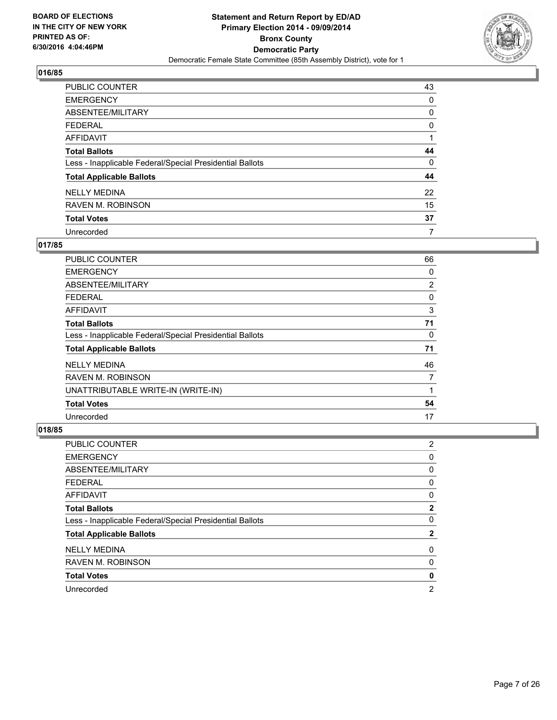

| PUBLIC COUNTER                                           | 43 |
|----------------------------------------------------------|----|
| <b>EMERGENCY</b>                                         | 0  |
| ABSENTEE/MILITARY                                        | 0  |
| <b>FEDERAL</b>                                           | 0  |
| <b>AFFIDAVIT</b>                                         |    |
| <b>Total Ballots</b>                                     | 44 |
| Less - Inapplicable Federal/Special Presidential Ballots | 0  |
| <b>Total Applicable Ballots</b>                          | 44 |
| <b>NELLY MEDINA</b>                                      | 22 |
| <b>RAVEN M. ROBINSON</b>                                 | 15 |
| <b>Total Votes</b>                                       | 37 |
| Unrecorded                                               | 7  |

#### **017/85**

| PUBLIC COUNTER                                           | 66             |
|----------------------------------------------------------|----------------|
| <b>EMERGENCY</b>                                         | 0              |
| ABSENTEE/MILITARY                                        | $\overline{2}$ |
| <b>FEDERAL</b>                                           | 0              |
| AFFIDAVIT                                                | 3              |
| <b>Total Ballots</b>                                     | 71             |
| Less - Inapplicable Federal/Special Presidential Ballots | 0              |
| <b>Total Applicable Ballots</b>                          | 71             |
| <b>NELLY MEDINA</b>                                      | 46             |
| <b>RAVEN M. ROBINSON</b>                                 | 7              |
| UNATTRIBUTABLE WRITE-IN (WRITE-IN)                       |                |
| <b>Total Votes</b>                                       | 54             |
| Unrecorded                                               | 17             |

| PUBLIC COUNTER                                           | 2            |
|----------------------------------------------------------|--------------|
| <b>EMERGENCY</b>                                         | 0            |
| ABSENTEE/MILITARY                                        | 0            |
| <b>FEDERAL</b>                                           | 0            |
| AFFIDAVIT                                                | 0            |
| <b>Total Ballots</b>                                     | $\mathbf{2}$ |
| Less - Inapplicable Federal/Special Presidential Ballots | 0            |
| <b>Total Applicable Ballots</b>                          | $\mathbf{2}$ |
| <b>NELLY MEDINA</b>                                      | 0            |
| <b>RAVEN M. ROBINSON</b>                                 | 0            |
| <b>Total Votes</b>                                       | 0            |
| Unrecorded                                               | 2            |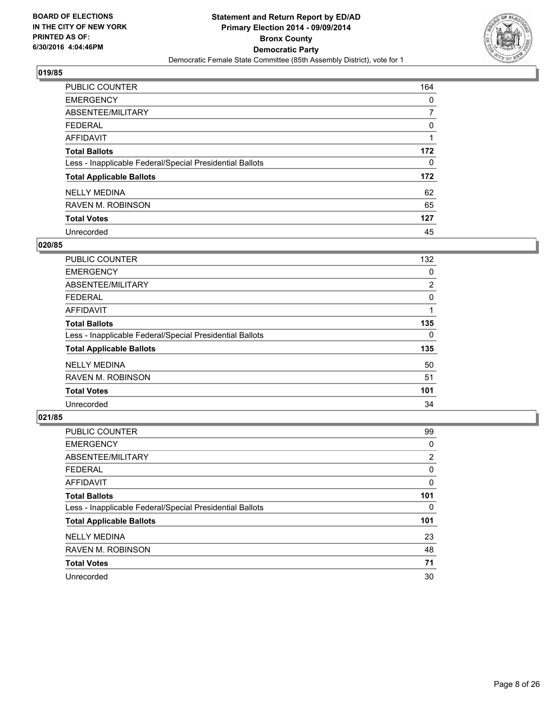

| PUBLIC COUNTER                                           | 164 |
|----------------------------------------------------------|-----|
| <b>EMERGENCY</b>                                         | 0   |
| ABSENTEE/MILITARY                                        |     |
| <b>FEDERAL</b>                                           | 0   |
| <b>AFFIDAVIT</b>                                         |     |
| <b>Total Ballots</b>                                     | 172 |
| Less - Inapplicable Federal/Special Presidential Ballots | 0   |
| <b>Total Applicable Ballots</b>                          | 172 |
| <b>NELLY MEDINA</b>                                      | 62  |
| <b>RAVEN M. ROBINSON</b>                                 | 65  |
| <b>Total Votes</b>                                       | 127 |
| Unrecorded                                               | 45  |

#### **020/85**

| <b>PUBLIC COUNTER</b>                                    | 132 |
|----------------------------------------------------------|-----|
| <b>EMERGENCY</b>                                         | 0   |
| ABSENTEE/MILITARY                                        | 2   |
| <b>FEDERAL</b>                                           | 0   |
| AFFIDAVIT                                                |     |
| <b>Total Ballots</b>                                     | 135 |
| Less - Inapplicable Federal/Special Presidential Ballots | 0   |
| <b>Total Applicable Ballots</b>                          | 135 |
| <b>NELLY MEDINA</b>                                      | 50  |
| <b>RAVEN M. ROBINSON</b>                                 | 51  |
| <b>Total Votes</b>                                       | 101 |
| Unrecorded                                               | 34  |
|                                                          |     |

| PUBLIC COUNTER                                           | 99             |
|----------------------------------------------------------|----------------|
| <b>EMERGENCY</b>                                         | 0              |
| ABSENTEE/MILITARY                                        | $\overline{2}$ |
| <b>FEDERAL</b>                                           | 0              |
| <b>AFFIDAVIT</b>                                         | 0              |
| <b>Total Ballots</b>                                     | 101            |
| Less - Inapplicable Federal/Special Presidential Ballots | 0              |
| <b>Total Applicable Ballots</b>                          | 101            |
| <b>NELLY MEDINA</b>                                      | 23             |
| <b>RAVEN M. ROBINSON</b>                                 | 48             |
| <b>Total Votes</b>                                       | 71             |
| Unrecorded                                               | 30             |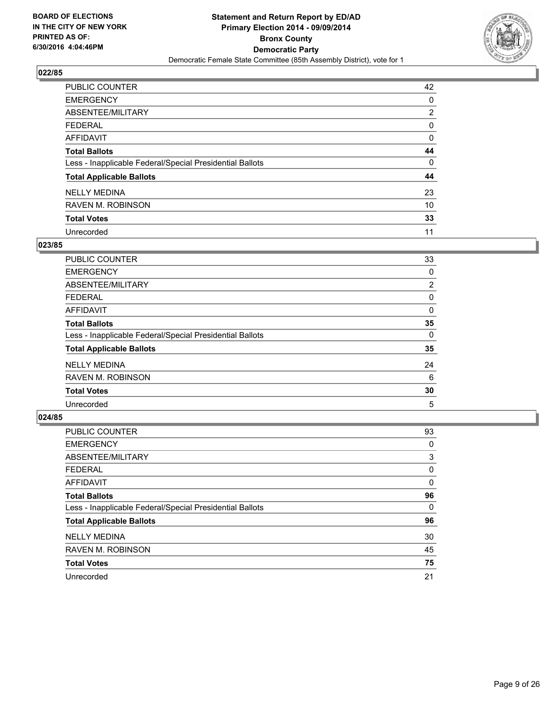

| PUBLIC COUNTER                                           | 42             |
|----------------------------------------------------------|----------------|
| <b>EMERGENCY</b>                                         | 0              |
| ABSENTEE/MILITARY                                        | $\overline{2}$ |
| <b>FEDERAL</b>                                           | 0              |
| <b>AFFIDAVIT</b>                                         | 0              |
| <b>Total Ballots</b>                                     | 44             |
| Less - Inapplicable Federal/Special Presidential Ballots | 0              |
| <b>Total Applicable Ballots</b>                          | 44             |
| <b>NELLY MEDINA</b>                                      | 23             |
| <b>RAVEN M. ROBINSON</b>                                 | 10             |
| <b>Total Votes</b>                                       | 33             |
| Unrecorded                                               | 11             |

#### **023/85**

| PUBLIC COUNTER                                           | 33             |
|----------------------------------------------------------|----------------|
| <b>EMERGENCY</b>                                         | 0              |
| ABSENTEE/MILITARY                                        | $\overline{2}$ |
| <b>FEDERAL</b>                                           | 0              |
| <b>AFFIDAVIT</b>                                         | 0              |
| <b>Total Ballots</b>                                     | 35             |
| Less - Inapplicable Federal/Special Presidential Ballots | 0              |
| <b>Total Applicable Ballots</b>                          | 35             |
| <b>NELLY MEDINA</b>                                      | 24             |
| <b>RAVEN M. ROBINSON</b>                                 | 6              |
| <b>Total Votes</b>                                       | 30             |
| Unrecorded                                               | 5              |

| PUBLIC COUNTER                                           | 93 |
|----------------------------------------------------------|----|
| <b>EMERGENCY</b>                                         | 0  |
| ABSENTEE/MILITARY                                        | 3  |
| <b>FEDERAL</b>                                           | 0  |
| <b>AFFIDAVIT</b>                                         | 0  |
| <b>Total Ballots</b>                                     | 96 |
| Less - Inapplicable Federal/Special Presidential Ballots | 0  |
| <b>Total Applicable Ballots</b>                          | 96 |
| <b>NELLY MEDINA</b>                                      | 30 |
| <b>RAVEN M. ROBINSON</b>                                 | 45 |
| <b>Total Votes</b>                                       | 75 |
| Unrecorded                                               | 21 |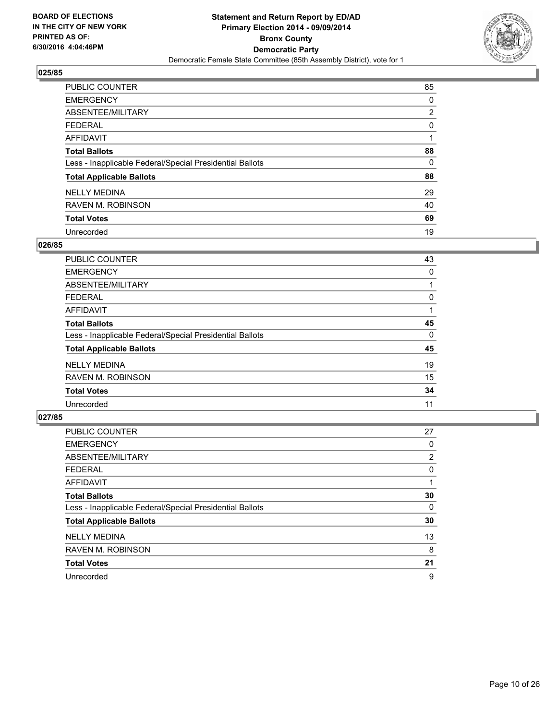

| PUBLIC COUNTER                                           | 85             |
|----------------------------------------------------------|----------------|
| <b>EMERGENCY</b>                                         | 0              |
| ABSENTEE/MILITARY                                        | $\overline{2}$ |
| <b>FEDERAL</b>                                           | 0              |
| <b>AFFIDAVIT</b>                                         |                |
| <b>Total Ballots</b>                                     | 88             |
| Less - Inapplicable Federal/Special Presidential Ballots | 0              |
| <b>Total Applicable Ballots</b>                          | 88             |
| <b>NELLY MEDINA</b>                                      | 29             |
| <b>RAVEN M. ROBINSON</b>                                 | 40             |
| <b>Total Votes</b>                                       | 69             |
| Unrecorded                                               | 19             |

#### **026/85**

| PUBLIC COUNTER                                           | 43 |
|----------------------------------------------------------|----|
| <b>EMERGENCY</b>                                         | 0  |
| ABSENTEE/MILITARY                                        |    |
| <b>FEDERAL</b>                                           | 0  |
| <b>AFFIDAVIT</b>                                         |    |
| <b>Total Ballots</b>                                     | 45 |
| Less - Inapplicable Federal/Special Presidential Ballots | 0  |
| <b>Total Applicable Ballots</b>                          | 45 |
| <b>NELLY MEDINA</b>                                      | 19 |
| <b>RAVEN M. ROBINSON</b>                                 | 15 |
| <b>Total Votes</b>                                       | 34 |
| Unrecorded                                               | 11 |

| PUBLIC COUNTER                                           | 27             |
|----------------------------------------------------------|----------------|
| <b>EMERGENCY</b>                                         | 0              |
| ABSENTEE/MILITARY                                        | $\overline{2}$ |
| <b>FEDERAL</b>                                           | 0              |
| <b>AFFIDAVIT</b>                                         |                |
| <b>Total Ballots</b>                                     | 30             |
| Less - Inapplicable Federal/Special Presidential Ballots | 0              |
| <b>Total Applicable Ballots</b>                          | 30             |
| <b>NELLY MEDINA</b>                                      | 13             |
| <b>RAVEN M. ROBINSON</b>                                 | 8              |
| <b>Total Votes</b>                                       | 21             |
| Unrecorded                                               | 9              |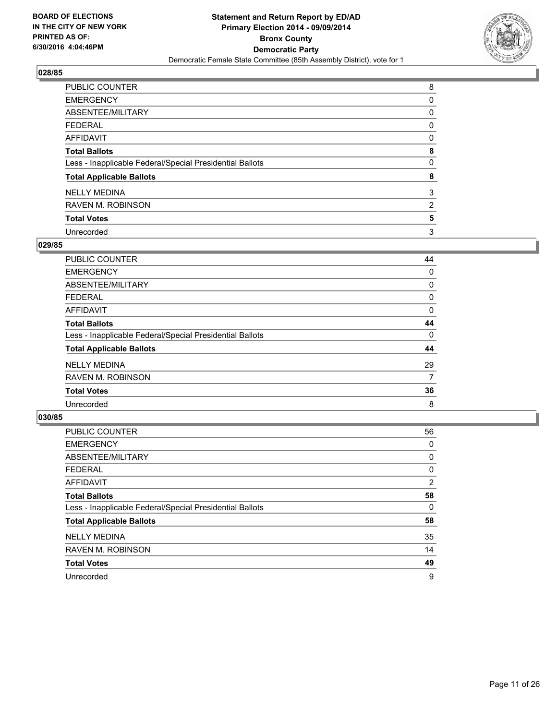

| PUBLIC COUNTER                                           | 8              |
|----------------------------------------------------------|----------------|
| <b>EMERGENCY</b>                                         | 0              |
| ABSENTEE/MILITARY                                        | 0              |
| <b>FEDERAL</b>                                           | 0              |
| <b>AFFIDAVIT</b>                                         | 0              |
| <b>Total Ballots</b>                                     | 8              |
| Less - Inapplicable Federal/Special Presidential Ballots | 0              |
| <b>Total Applicable Ballots</b>                          | 8              |
| <b>NELLY MEDINA</b>                                      | 3              |
| <b>RAVEN M. ROBINSON</b>                                 | $\overline{2}$ |
| <b>Total Votes</b>                                       | 5              |
| Unrecorded                                               | 3              |

#### **029/85**

| PUBLIC COUNTER                                           | 44 |
|----------------------------------------------------------|----|
| <b>EMERGENCY</b>                                         | 0  |
| ABSENTEE/MILITARY                                        | 0  |
| <b>FEDERAL</b>                                           | 0  |
| <b>AFFIDAVIT</b>                                         | 0  |
| <b>Total Ballots</b>                                     | 44 |
| Less - Inapplicable Federal/Special Presidential Ballots | 0  |
| <b>Total Applicable Ballots</b>                          | 44 |
| <b>NELLY MEDINA</b>                                      | 29 |
| <b>RAVEN M. ROBINSON</b>                                 | 7  |
| <b>Total Votes</b>                                       | 36 |
| Unrecorded                                               | 8  |

| PUBLIC COUNTER                                           | 56             |
|----------------------------------------------------------|----------------|
| <b>EMERGENCY</b>                                         | 0              |
| ABSENTEE/MILITARY                                        | 0              |
| <b>FEDERAL</b>                                           | 0              |
| <b>AFFIDAVIT</b>                                         | $\overline{2}$ |
| <b>Total Ballots</b>                                     | 58             |
| Less - Inapplicable Federal/Special Presidential Ballots | 0              |
| <b>Total Applicable Ballots</b>                          | 58             |
| <b>NELLY MEDINA</b>                                      | 35             |
| <b>RAVEN M. ROBINSON</b>                                 | 14             |
| <b>Total Votes</b>                                       | 49             |
| Unrecorded                                               | 9              |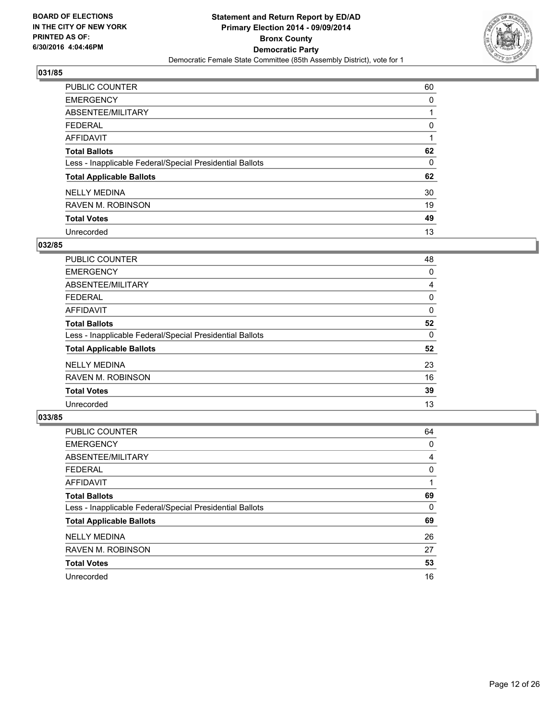

| PUBLIC COUNTER                                           | 60 |
|----------------------------------------------------------|----|
| <b>EMERGENCY</b>                                         | 0  |
| ABSENTEE/MILITARY                                        |    |
| <b>FEDERAL</b>                                           | 0  |
| <b>AFFIDAVIT</b>                                         |    |
| <b>Total Ballots</b>                                     | 62 |
| Less - Inapplicable Federal/Special Presidential Ballots | 0  |
| <b>Total Applicable Ballots</b>                          | 62 |
| <b>NELLY MEDINA</b>                                      | 30 |
| <b>RAVEN M. ROBINSON</b>                                 | 19 |
| <b>Total Votes</b>                                       | 49 |
| Unrecorded                                               | 13 |

#### **032/85**

| <b>PUBLIC COUNTER</b>                                    | 48 |
|----------------------------------------------------------|----|
| <b>EMERGENCY</b>                                         | 0  |
| ABSENTEE/MILITARY                                        | 4  |
| <b>FEDERAL</b>                                           | 0  |
| <b>AFFIDAVIT</b>                                         | 0  |
| <b>Total Ballots</b>                                     | 52 |
| Less - Inapplicable Federal/Special Presidential Ballots | 0  |
| <b>Total Applicable Ballots</b>                          | 52 |
| <b>NELLY MEDINA</b>                                      | 23 |
| <b>RAVEN M. ROBINSON</b>                                 | 16 |
| <b>Total Votes</b>                                       | 39 |
| Unrecorded                                               | 13 |
|                                                          |    |

| PUBLIC COUNTER                                           | 64 |
|----------------------------------------------------------|----|
| <b>EMERGENCY</b>                                         | 0  |
| ABSENTEE/MILITARY                                        | 4  |
| <b>FEDERAL</b>                                           | 0  |
| <b>AFFIDAVIT</b>                                         |    |
| <b>Total Ballots</b>                                     | 69 |
| Less - Inapplicable Federal/Special Presidential Ballots | 0  |
| <b>Total Applicable Ballots</b>                          | 69 |
| <b>NELLY MEDINA</b>                                      | 26 |
| <b>RAVEN M. ROBINSON</b>                                 | 27 |
| <b>Total Votes</b>                                       | 53 |
| Unrecorded                                               | 16 |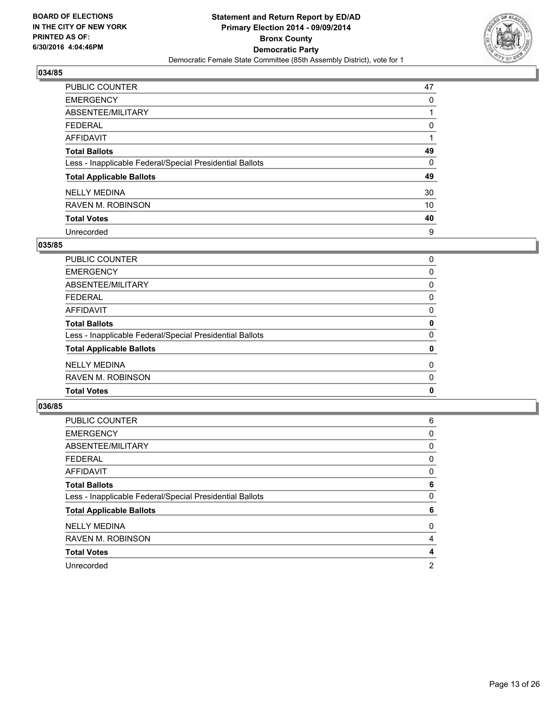

| PUBLIC COUNTER                                           | 47 |
|----------------------------------------------------------|----|
| <b>EMERGENCY</b>                                         | 0  |
| ABSENTEE/MILITARY                                        |    |
| <b>FEDERAL</b>                                           | 0  |
| <b>AFFIDAVIT</b>                                         |    |
| <b>Total Ballots</b>                                     | 49 |
| Less - Inapplicable Federal/Special Presidential Ballots | 0  |
| <b>Total Applicable Ballots</b>                          | 49 |
| <b>NELLY MEDINA</b>                                      | 30 |
| <b>RAVEN M. ROBINSON</b>                                 | 10 |
| <b>Total Votes</b>                                       | 40 |
| Unrecorded                                               | 9  |

#### **035/85**

| <b>PUBLIC COUNTER</b>                                    | 0           |
|----------------------------------------------------------|-------------|
| <b>EMERGENCY</b>                                         | 0           |
| ABSENTEE/MILITARY                                        | 0           |
| <b>FEDERAL</b>                                           | 0           |
| <b>AFFIDAVIT</b>                                         | 0           |
| <b>Total Ballots</b>                                     | $\mathbf 0$ |
| Less - Inapplicable Federal/Special Presidential Ballots | $\Omega$    |
| <b>Total Applicable Ballots</b>                          | 0           |
| <b>NELLY MEDINA</b>                                      | $\Omega$    |
| <b>RAVEN M. ROBINSON</b>                                 | 0           |
| <b>Total Votes</b>                                       | $\mathbf 0$ |
|                                                          |             |

| <b>PUBLIC COUNTER</b>                                    | 6 |
|----------------------------------------------------------|---|
| <b>EMERGENCY</b>                                         | 0 |
| ABSENTEE/MILITARY                                        | 0 |
| <b>FEDERAL</b>                                           | 0 |
| AFFIDAVIT                                                | 0 |
| <b>Total Ballots</b>                                     | 6 |
| Less - Inapplicable Federal/Special Presidential Ballots | 0 |
| <b>Total Applicable Ballots</b>                          | 6 |
| <b>NELLY MEDINA</b>                                      | 0 |
| <b>RAVEN M. ROBINSON</b>                                 | 4 |
| <b>Total Votes</b>                                       | 4 |
| Unrecorded                                               | 2 |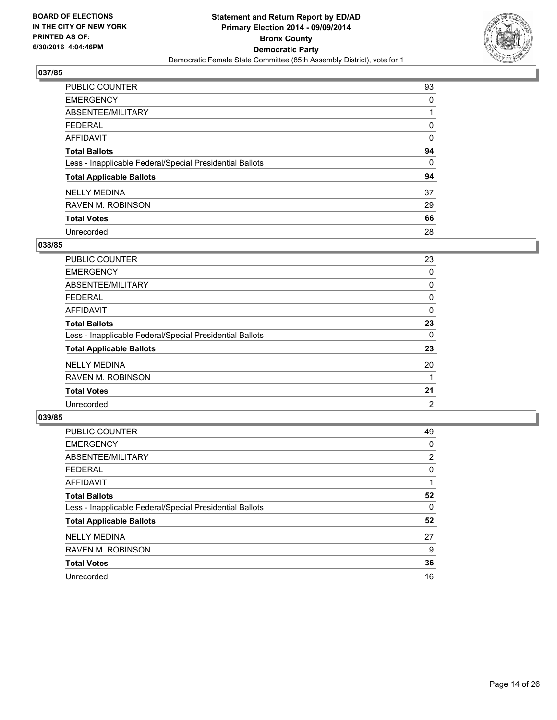

| PUBLIC COUNTER                                           | 93 |
|----------------------------------------------------------|----|
| <b>EMERGENCY</b>                                         | 0  |
| ABSENTEE/MILITARY                                        |    |
| <b>FEDERAL</b>                                           | 0  |
| <b>AFFIDAVIT</b>                                         | 0  |
| <b>Total Ballots</b>                                     | 94 |
| Less - Inapplicable Federal/Special Presidential Ballots | 0  |
| <b>Total Applicable Ballots</b>                          | 94 |
| <b>NELLY MEDINA</b>                                      | 37 |
| <b>RAVEN M. ROBINSON</b>                                 | 29 |
| <b>Total Votes</b>                                       | 66 |
| Unrecorded                                               | 28 |

#### **038/85**

| PUBLIC COUNTER                                           | 23 |
|----------------------------------------------------------|----|
| <b>EMERGENCY</b>                                         | 0  |
| ABSENTEE/MILITARY                                        | 0  |
| <b>FEDERAL</b>                                           | 0  |
| <b>AFFIDAVIT</b>                                         | 0  |
| <b>Total Ballots</b>                                     | 23 |
| Less - Inapplicable Federal/Special Presidential Ballots | 0  |
| <b>Total Applicable Ballots</b>                          | 23 |
| <b>NELLY MEDINA</b>                                      | 20 |
| <b>RAVEN M. ROBINSON</b>                                 |    |
| <b>Total Votes</b>                                       | 21 |
| Unrecorded                                               | 2  |
|                                                          |    |

| PUBLIC COUNTER                                           | 49             |
|----------------------------------------------------------|----------------|
| <b>EMERGENCY</b>                                         | 0              |
| ABSENTEE/MILITARY                                        | $\overline{2}$ |
| <b>FEDERAL</b>                                           | 0              |
| <b>AFFIDAVIT</b>                                         |                |
| <b>Total Ballots</b>                                     | 52             |
| Less - Inapplicable Federal/Special Presidential Ballots | 0              |
| <b>Total Applicable Ballots</b>                          | 52             |
| <b>NELLY MEDINA</b>                                      | 27             |
| <b>RAVEN M. ROBINSON</b>                                 | 9              |
| <b>Total Votes</b>                                       | 36             |
| Unrecorded                                               | 16             |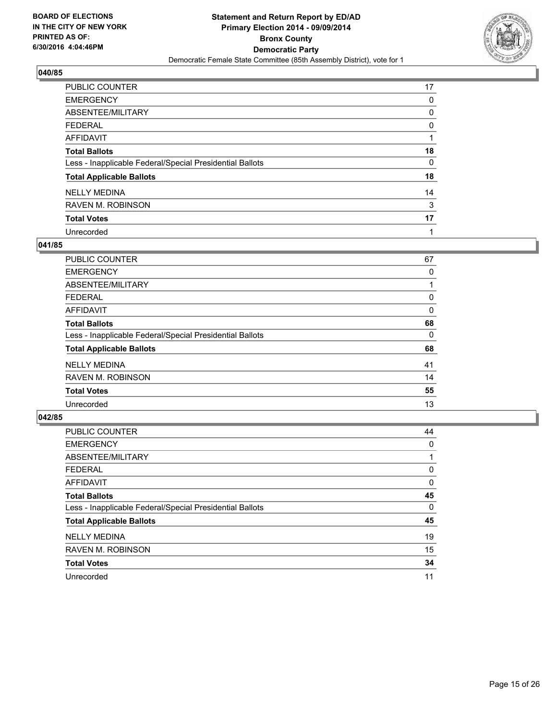

| <b>PUBLIC COUNTER</b>                                    | 17 |
|----------------------------------------------------------|----|
| <b>EMERGENCY</b>                                         | 0  |
| ABSENTEE/MILITARY                                        | 0  |
| <b>FEDERAL</b>                                           | 0  |
| <b>AFFIDAVIT</b>                                         |    |
| <b>Total Ballots</b>                                     | 18 |
| Less - Inapplicable Federal/Special Presidential Ballots | 0  |
| <b>Total Applicable Ballots</b>                          | 18 |
| <b>NELLY MEDINA</b>                                      | 14 |
| <b>RAVEN M. ROBINSON</b>                                 | 3  |
| <b>Total Votes</b>                                       | 17 |
| Unrecorded                                               |    |

#### **041/85**

| PUBLIC COUNTER                                           | 67 |
|----------------------------------------------------------|----|
| <b>EMERGENCY</b>                                         | 0  |
| ABSENTEE/MILITARY                                        |    |
| <b>FEDERAL</b>                                           | 0  |
| <b>AFFIDAVIT</b>                                         | 0  |
| <b>Total Ballots</b>                                     | 68 |
| Less - Inapplicable Federal/Special Presidential Ballots | 0  |
| <b>Total Applicable Ballots</b>                          | 68 |
| <b>NELLY MEDINA</b>                                      | 41 |
| <b>RAVEN M. ROBINSON</b>                                 | 14 |
| <b>Total Votes</b>                                       | 55 |
| Unrecorded                                               | 13 |

| PUBLIC COUNTER                                           | 44 |
|----------------------------------------------------------|----|
| <b>EMERGENCY</b>                                         | 0  |
| ABSENTEE/MILITARY                                        |    |
| <b>FEDERAL</b>                                           | 0  |
| AFFIDAVIT                                                | 0  |
| <b>Total Ballots</b>                                     | 45 |
| Less - Inapplicable Federal/Special Presidential Ballots | 0  |
| <b>Total Applicable Ballots</b>                          | 45 |
| <b>NELLY MEDINA</b>                                      | 19 |
| <b>RAVEN M. ROBINSON</b>                                 | 15 |
| <b>Total Votes</b>                                       | 34 |
| Unrecorded                                               | 11 |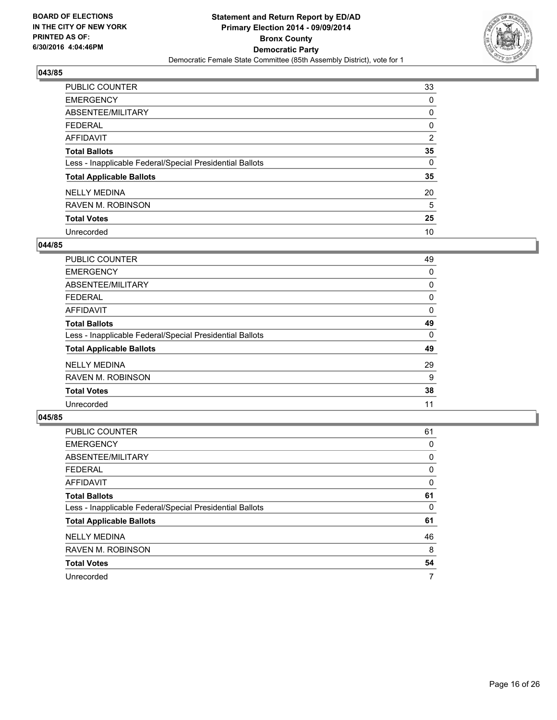

| PUBLIC COUNTER                                           | 33             |
|----------------------------------------------------------|----------------|
| <b>EMERGENCY</b>                                         | 0              |
| ABSENTEE/MILITARY                                        | 0              |
| <b>FEDERAL</b>                                           | 0              |
| <b>AFFIDAVIT</b>                                         | $\overline{2}$ |
| <b>Total Ballots</b>                                     | 35             |
| Less - Inapplicable Federal/Special Presidential Ballots | 0              |
| <b>Total Applicable Ballots</b>                          | 35             |
| <b>NELLY MEDINA</b>                                      | 20             |
| <b>RAVEN M. ROBINSON</b>                                 | 5              |
| <b>Total Votes</b>                                       | 25             |
| Unrecorded                                               | 10             |

#### **044/85**

| PUBLIC COUNTER                                           | 49 |
|----------------------------------------------------------|----|
| <b>EMERGENCY</b>                                         | 0  |
| ABSENTEE/MILITARY                                        | 0  |
| <b>FEDERAL</b>                                           | 0  |
| <b>AFFIDAVIT</b>                                         | 0  |
| <b>Total Ballots</b>                                     | 49 |
| Less - Inapplicable Federal/Special Presidential Ballots | 0  |
| <b>Total Applicable Ballots</b>                          | 49 |
| <b>NELLY MEDINA</b>                                      | 29 |
| <b>RAVEN M. ROBINSON</b>                                 | 9  |
| <b>Total Votes</b>                                       | 38 |
| Unrecorded                                               | 11 |

| PUBLIC COUNTER                                           | 61 |
|----------------------------------------------------------|----|
| <b>EMERGENCY</b>                                         | 0  |
| ABSENTEE/MILITARY                                        | 0  |
| <b>FEDERAL</b>                                           | 0  |
| <b>AFFIDAVIT</b>                                         | 0  |
| <b>Total Ballots</b>                                     | 61 |
| Less - Inapplicable Federal/Special Presidential Ballots | 0  |
| <b>Total Applicable Ballots</b>                          | 61 |
| <b>NELLY MEDINA</b>                                      | 46 |
| <b>RAVEN M. ROBINSON</b>                                 | 8  |
| <b>Total Votes</b>                                       | 54 |
| Unrecorded                                               | 7  |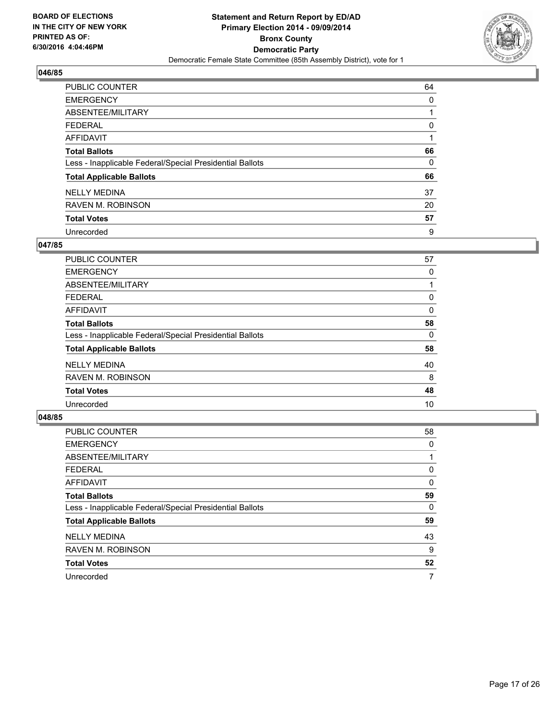

| PUBLIC COUNTER                                           | 64 |
|----------------------------------------------------------|----|
| <b>EMERGENCY</b>                                         | 0  |
| ABSENTEE/MILITARY                                        |    |
| <b>FEDERAL</b>                                           | 0  |
| <b>AFFIDAVIT</b>                                         |    |
| <b>Total Ballots</b>                                     | 66 |
| Less - Inapplicable Federal/Special Presidential Ballots | 0  |
| <b>Total Applicable Ballots</b>                          | 66 |
| <b>NELLY MEDINA</b>                                      | 37 |
| <b>RAVEN M. ROBINSON</b>                                 | 20 |
| <b>Total Votes</b>                                       | 57 |
| Unrecorded                                               | 9  |

#### **047/85**

| <b>PUBLIC COUNTER</b>                                    | 57 |
|----------------------------------------------------------|----|
| <b>EMERGENCY</b>                                         | 0  |
| ABSENTEE/MILITARY                                        |    |
| <b>FEDERAL</b>                                           | 0  |
| <b>AFFIDAVIT</b>                                         | 0  |
| <b>Total Ballots</b>                                     | 58 |
| Less - Inapplicable Federal/Special Presidential Ballots | 0  |
| <b>Total Applicable Ballots</b>                          | 58 |
| <b>NELLY MEDINA</b>                                      | 40 |
| <b>RAVEN M. ROBINSON</b>                                 | 8  |
| <b>Total Votes</b>                                       | 48 |
| Unrecorded                                               | 10 |

| PUBLIC COUNTER                                           | 58 |
|----------------------------------------------------------|----|
| <b>EMERGENCY</b>                                         | 0  |
| ABSENTEE/MILITARY                                        |    |
| <b>FEDERAL</b>                                           | 0  |
| <b>AFFIDAVIT</b>                                         | 0  |
| <b>Total Ballots</b>                                     | 59 |
| Less - Inapplicable Federal/Special Presidential Ballots | 0  |
| <b>Total Applicable Ballots</b>                          | 59 |
| <b>NELLY MEDINA</b>                                      | 43 |
| <b>RAVEN M. ROBINSON</b>                                 | 9  |
| <b>Total Votes</b>                                       | 52 |
| Unrecorded                                               | 7  |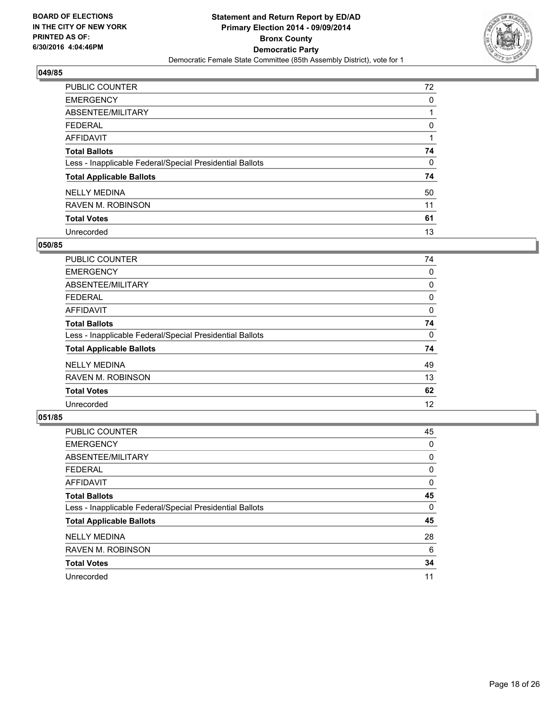

| PUBLIC COUNTER                                           | 72 |
|----------------------------------------------------------|----|
| <b>EMERGENCY</b>                                         | 0  |
| ABSENTEE/MILITARY                                        |    |
| <b>FEDERAL</b>                                           | 0  |
| <b>AFFIDAVIT</b>                                         |    |
| <b>Total Ballots</b>                                     | 74 |
| Less - Inapplicable Federal/Special Presidential Ballots | 0  |
| <b>Total Applicable Ballots</b>                          | 74 |
| <b>NELLY MEDINA</b>                                      | 50 |
| <b>RAVEN M. ROBINSON</b>                                 | 11 |
| <b>Total Votes</b>                                       | 61 |
| Unrecorded                                               | 13 |

#### **050/85**

| <b>PUBLIC COUNTER</b>                                    | 74 |
|----------------------------------------------------------|----|
| <b>EMERGENCY</b>                                         | 0  |
| ABSENTEE/MILITARY                                        | 0  |
| <b>FEDERAL</b>                                           | 0  |
| <b>AFFIDAVIT</b>                                         | 0  |
| <b>Total Ballots</b>                                     | 74 |
| Less - Inapplicable Federal/Special Presidential Ballots | 0  |
| <b>Total Applicable Ballots</b>                          | 74 |
| <b>NELLY MEDINA</b>                                      | 49 |
| <b>RAVEN M. ROBINSON</b>                                 | 13 |
| <b>Total Votes</b>                                       | 62 |
| Unrecorded                                               | 12 |
|                                                          |    |

| PUBLIC COUNTER                                           | 45 |
|----------------------------------------------------------|----|
| <b>EMERGENCY</b>                                         | 0  |
| ABSENTEE/MILITARY                                        | 0  |
| <b>FEDERAL</b>                                           | 0  |
| <b>AFFIDAVIT</b>                                         | 0  |
| <b>Total Ballots</b>                                     | 45 |
| Less - Inapplicable Federal/Special Presidential Ballots | 0  |
| <b>Total Applicable Ballots</b>                          | 45 |
| <b>NELLY MEDINA</b>                                      | 28 |
| <b>RAVEN M. ROBINSON</b>                                 | 6  |
| <b>Total Votes</b>                                       | 34 |
| Unrecorded                                               | 11 |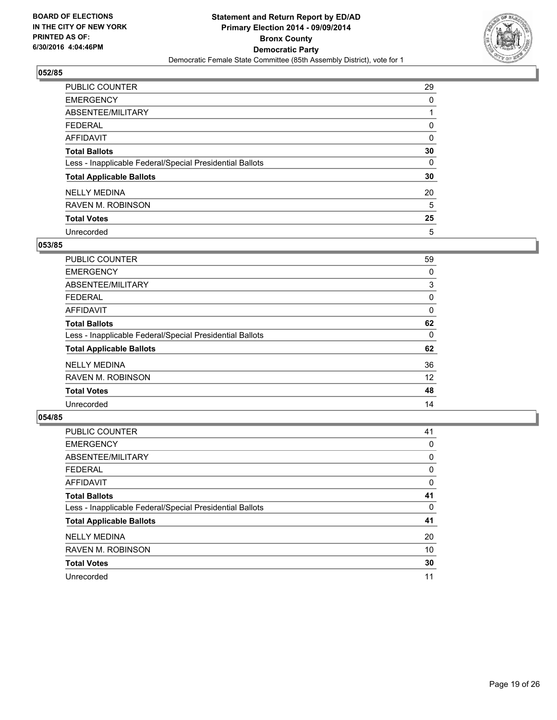

| PUBLIC COUNTER                                           | 29 |
|----------------------------------------------------------|----|
| <b>EMERGENCY</b>                                         | 0  |
| ABSENTEE/MILITARY                                        |    |
| <b>FEDERAL</b>                                           | 0  |
| <b>AFFIDAVIT</b>                                         | 0  |
| <b>Total Ballots</b>                                     | 30 |
| Less - Inapplicable Federal/Special Presidential Ballots | 0  |
| <b>Total Applicable Ballots</b>                          | 30 |
| <b>NELLY MEDINA</b>                                      | 20 |
| <b>RAVEN M. ROBINSON</b>                                 | 5  |
| <b>Total Votes</b>                                       | 25 |
| Unrecorded                                               | 5  |

#### **053/85**

| PUBLIC COUNTER                                           | 59 |
|----------------------------------------------------------|----|
| <b>EMERGENCY</b>                                         | 0  |
| ABSENTEE/MILITARY                                        | 3  |
| <b>FEDERAL</b>                                           | 0  |
| <b>AFFIDAVIT</b>                                         | 0  |
| <b>Total Ballots</b>                                     | 62 |
| Less - Inapplicable Federal/Special Presidential Ballots | 0  |
| <b>Total Applicable Ballots</b>                          | 62 |
| <b>NELLY MEDINA</b>                                      | 36 |
| <b>RAVEN M. ROBINSON</b>                                 | 12 |
| <b>Total Votes</b>                                       | 48 |
| Unrecorded                                               | 14 |

| PUBLIC COUNTER                                           | 41 |
|----------------------------------------------------------|----|
| <b>EMERGENCY</b>                                         | 0  |
| ABSENTEE/MILITARY                                        | 0  |
| <b>FEDERAL</b>                                           | 0  |
| <b>AFFIDAVIT</b>                                         | 0  |
| <b>Total Ballots</b>                                     | 41 |
| Less - Inapplicable Federal/Special Presidential Ballots | 0  |
| <b>Total Applicable Ballots</b>                          | 41 |
| <b>NELLY MEDINA</b>                                      | 20 |
| <b>RAVEN M. ROBINSON</b>                                 | 10 |
| <b>Total Votes</b>                                       | 30 |
| Unrecorded                                               | 11 |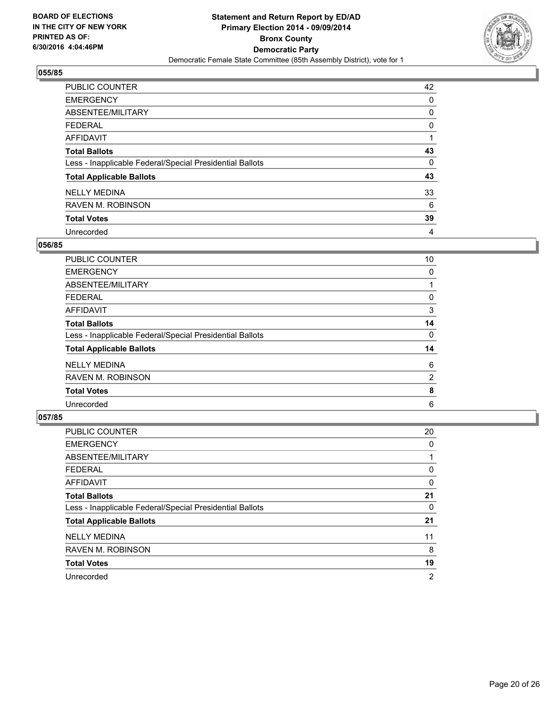

| PUBLIC COUNTER                                           | 42 |
|----------------------------------------------------------|----|
| <b>EMERGENCY</b>                                         | 0  |
| ABSENTEE/MILITARY                                        | 0  |
| <b>FEDERAL</b>                                           | 0  |
| <b>AFFIDAVIT</b>                                         |    |
| <b>Total Ballots</b>                                     | 43 |
| Less - Inapplicable Federal/Special Presidential Ballots | 0  |
| <b>Total Applicable Ballots</b>                          | 43 |
| <b>NELLY MEDINA</b>                                      | 33 |
| <b>RAVEN M. ROBINSON</b>                                 | 6  |
| <b>Total Votes</b>                                       | 39 |
| Unrecorded                                               | 4  |

#### **056/85**

| PUBLIC COUNTER                                           | 10 |
|----------------------------------------------------------|----|
| <b>EMERGENCY</b>                                         | 0  |
| ABSENTEE/MILITARY                                        |    |
| <b>FEDERAL</b>                                           | 0  |
| <b>AFFIDAVIT</b>                                         | 3  |
| <b>Total Ballots</b>                                     | 14 |
| Less - Inapplicable Federal/Special Presidential Ballots | 0  |
| <b>Total Applicable Ballots</b>                          | 14 |
| <b>NELLY MEDINA</b>                                      | 6  |
| <b>RAVEN M. ROBINSON</b>                                 | 2  |
| <b>Total Votes</b>                                       | 8  |
| Unrecorded                                               | 6  |
|                                                          |    |

| PUBLIC COUNTER                                           | 20 |
|----------------------------------------------------------|----|
| <b>EMERGENCY</b>                                         | 0  |
| ABSENTEE/MILITARY                                        |    |
| <b>FEDERAL</b>                                           | 0  |
| AFFIDAVIT                                                | 0  |
| <b>Total Ballots</b>                                     | 21 |
| Less - Inapplicable Federal/Special Presidential Ballots | 0  |
| <b>Total Applicable Ballots</b>                          | 21 |
| <b>NELLY MEDINA</b>                                      | 11 |
| <b>RAVEN M. ROBINSON</b>                                 | 8  |
| <b>Total Votes</b>                                       | 19 |
| Unrecorded                                               | 2  |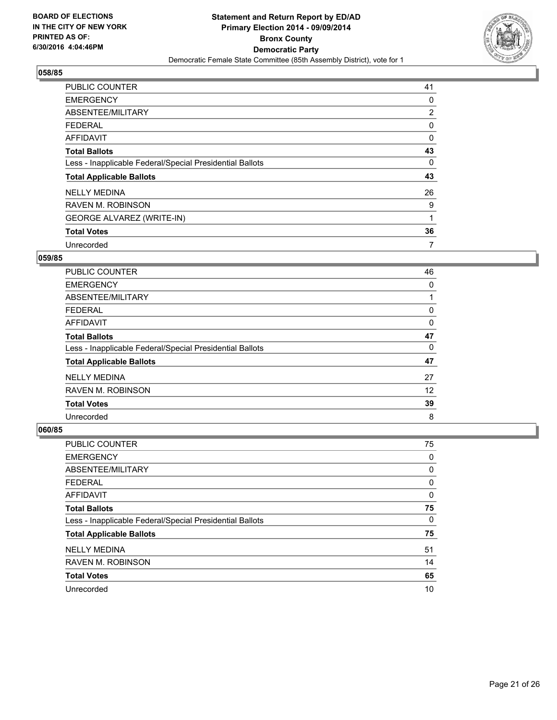

| <b>PUBLIC COUNTER</b>                                    | 41 |
|----------------------------------------------------------|----|
| <b>EMERGENCY</b>                                         | 0  |
| ABSENTEE/MILITARY                                        | 2  |
| <b>FEDERAL</b>                                           | 0  |
| <b>AFFIDAVIT</b>                                         | 0  |
| <b>Total Ballots</b>                                     | 43 |
| Less - Inapplicable Federal/Special Presidential Ballots | 0  |
| <b>Total Applicable Ballots</b>                          | 43 |
| <b>NELLY MEDINA</b>                                      | 26 |
| <b>RAVEN M. ROBINSON</b>                                 | 9  |
| <b>GEORGE ALVAREZ (WRITE-IN)</b>                         |    |
| <b>Total Votes</b>                                       | 36 |
| Unrecorded                                               | 7  |

# **059/85**

| PUBLIC COUNTER                                           | 46 |
|----------------------------------------------------------|----|
|                                                          |    |
| <b>EMERGENCY</b>                                         | 0  |
| ABSENTEE/MILITARY                                        |    |
| <b>FEDERAL</b>                                           | 0  |
| <b>AFFIDAVIT</b>                                         | 0  |
| <b>Total Ballots</b>                                     | 47 |
| Less - Inapplicable Federal/Special Presidential Ballots | 0  |
| <b>Total Applicable Ballots</b>                          | 47 |
| <b>NELLY MEDINA</b>                                      | 27 |
| <b>RAVEN M. ROBINSON</b>                                 | 12 |
| <b>Total Votes</b>                                       | 39 |
| Unrecorded                                               | 8  |

| PUBLIC COUNTER                                           | 75 |
|----------------------------------------------------------|----|
| <b>EMERGENCY</b>                                         | 0  |
| ABSENTEE/MILITARY                                        | 0  |
| <b>FEDERAL</b>                                           | 0  |
| <b>AFFIDAVIT</b>                                         | 0  |
| <b>Total Ballots</b>                                     | 75 |
| Less - Inapplicable Federal/Special Presidential Ballots | 0  |
| <b>Total Applicable Ballots</b>                          | 75 |
| <b>NELLY MEDINA</b>                                      | 51 |
| <b>RAVEN M. ROBINSON</b>                                 | 14 |
| <b>Total Votes</b>                                       | 65 |
| Unrecorded                                               | 10 |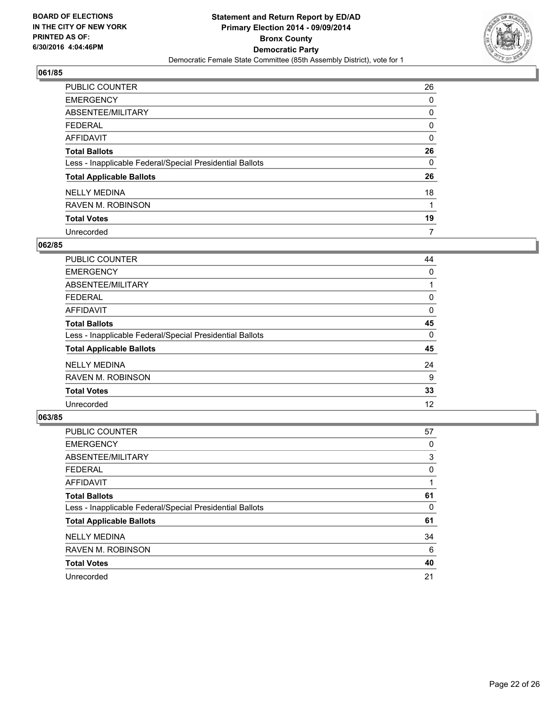

| PUBLIC COUNTER                                           | 26 |
|----------------------------------------------------------|----|
| <b>EMERGENCY</b>                                         | 0  |
| ABSENTEE/MILITARY                                        | 0  |
| <b>FEDERAL</b>                                           | 0  |
| <b>AFFIDAVIT</b>                                         | 0  |
| <b>Total Ballots</b>                                     | 26 |
| Less - Inapplicable Federal/Special Presidential Ballots | 0  |
| <b>Total Applicable Ballots</b>                          | 26 |
| <b>NELLY MEDINA</b>                                      | 18 |
| <b>RAVEN M. ROBINSON</b>                                 |    |
| <b>Total Votes</b>                                       | 19 |
| Unrecorded                                               | 7  |

#### **062/85**

| <b>PUBLIC COUNTER</b>                                    | 44 |
|----------------------------------------------------------|----|
| <b>EMERGENCY</b>                                         | 0  |
| ABSENTEE/MILITARY                                        |    |
| <b>FEDERAL</b>                                           | 0  |
| <b>AFFIDAVIT</b>                                         | 0  |
| <b>Total Ballots</b>                                     | 45 |
| Less - Inapplicable Federal/Special Presidential Ballots | 0  |
| <b>Total Applicable Ballots</b>                          | 45 |
| <b>NELLY MEDINA</b>                                      | 24 |
| <b>RAVEN M. ROBINSON</b>                                 | 9  |
| <b>Total Votes</b>                                       | 33 |
| Unrecorded                                               | 12 |
|                                                          |    |

| PUBLIC COUNTER                                           | 57 |
|----------------------------------------------------------|----|
| <b>EMERGENCY</b>                                         | 0  |
| ABSENTEE/MILITARY                                        | 3  |
| <b>FEDERAL</b>                                           | 0  |
| AFFIDAVIT                                                |    |
| <b>Total Ballots</b>                                     | 61 |
| Less - Inapplicable Federal/Special Presidential Ballots | 0  |
| <b>Total Applicable Ballots</b>                          | 61 |
| <b>NELLY MEDINA</b>                                      | 34 |
| <b>RAVEN M. ROBINSON</b>                                 | 6  |
| <b>Total Votes</b>                                       | 40 |
| Unrecorded                                               | 21 |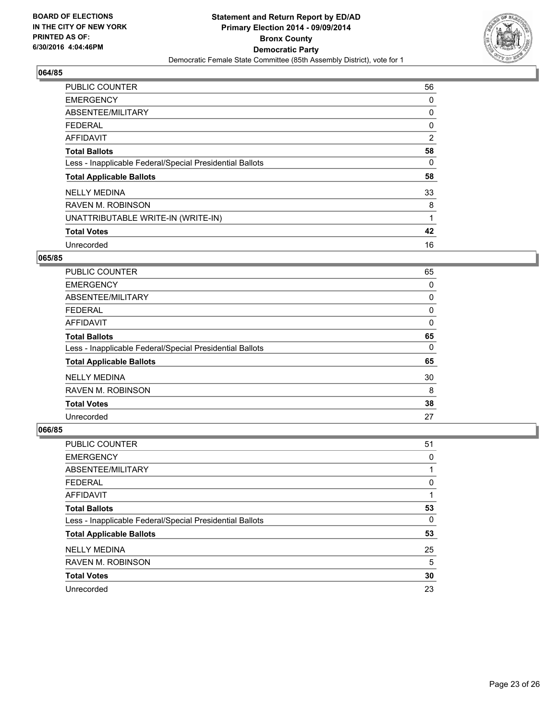

| <b>PUBLIC COUNTER</b>                                    | 56 |
|----------------------------------------------------------|----|
| <b>EMERGENCY</b>                                         | 0  |
| ABSENTEE/MILITARY                                        | 0  |
| <b>FEDERAL</b>                                           | 0  |
| <b>AFFIDAVIT</b>                                         | 2  |
| <b>Total Ballots</b>                                     | 58 |
| Less - Inapplicable Federal/Special Presidential Ballots | 0  |
| <b>Total Applicable Ballots</b>                          | 58 |
| <b>NELLY MEDINA</b>                                      | 33 |
| <b>RAVEN M. ROBINSON</b>                                 | 8  |
| UNATTRIBUTABLE WRITE-IN (WRITE-IN)                       | 1  |
| <b>Total Votes</b>                                       | 42 |
| Unrecorded                                               | 16 |

#### **065/85**

| PUBLIC COUNTER                                           | 65 |
|----------------------------------------------------------|----|
| <b>EMERGENCY</b>                                         | 0  |
| ABSENTEE/MILITARY                                        | 0  |
| <b>FEDERAL</b>                                           | 0  |
| <b>AFFIDAVIT</b>                                         | 0  |
| <b>Total Ballots</b>                                     | 65 |
| Less - Inapplicable Federal/Special Presidential Ballots | 0  |
| <b>Total Applicable Ballots</b>                          | 65 |
| <b>NELLY MEDINA</b>                                      | 30 |
| <b>RAVEN M. ROBINSON</b>                                 | 8  |
| <b>Total Votes</b>                                       | 38 |
| Unrecorded                                               | 27 |

| PUBLIC COUNTER                                           | 51 |
|----------------------------------------------------------|----|
| <b>EMERGENCY</b>                                         | 0  |
| ABSENTEE/MILITARY                                        |    |
| <b>FEDERAL</b>                                           | 0  |
| AFFIDAVIT                                                |    |
| <b>Total Ballots</b>                                     | 53 |
| Less - Inapplicable Federal/Special Presidential Ballots | 0  |
| <b>Total Applicable Ballots</b>                          | 53 |
| <b>NELLY MEDINA</b>                                      | 25 |
| <b>RAVEN M. ROBINSON</b>                                 | 5  |
| <b>Total Votes</b>                                       | 30 |
| Unrecorded                                               | 23 |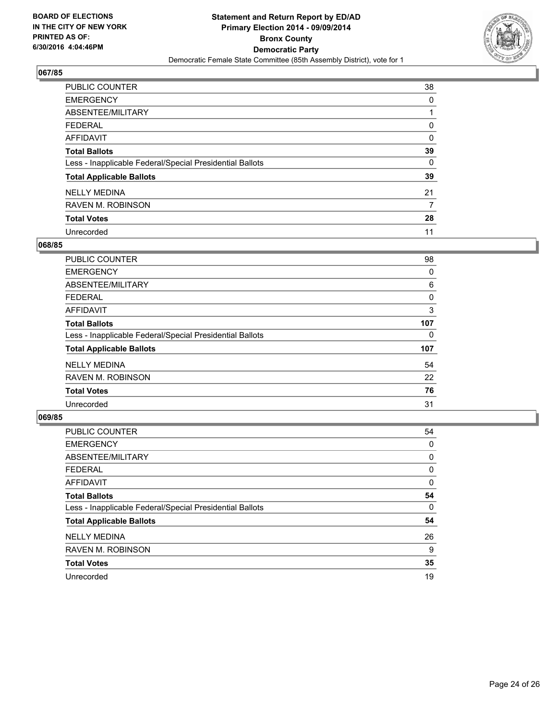

| PUBLIC COUNTER                                           | 38 |
|----------------------------------------------------------|----|
| <b>EMERGENCY</b>                                         | 0  |
| ABSENTEE/MILITARY                                        |    |
| <b>FEDERAL</b>                                           | 0  |
| <b>AFFIDAVIT</b>                                         | 0  |
| <b>Total Ballots</b>                                     | 39 |
| Less - Inapplicable Federal/Special Presidential Ballots | 0  |
| <b>Total Applicable Ballots</b>                          | 39 |
| <b>NELLY MEDINA</b>                                      | 21 |
| <b>RAVEN M. ROBINSON</b>                                 | 7  |
| <b>Total Votes</b>                                       | 28 |
| Unrecorded                                               | 11 |

#### **068/85**

| PUBLIC COUNTER                                           | 98  |
|----------------------------------------------------------|-----|
| <b>EMERGENCY</b>                                         | 0   |
| ABSENTEE/MILITARY                                        | 6   |
| FEDERAL                                                  | 0   |
| <b>AFFIDAVIT</b>                                         | 3   |
| <b>Total Ballots</b>                                     | 107 |
| Less - Inapplicable Federal/Special Presidential Ballots | 0   |
| <b>Total Applicable Ballots</b>                          | 107 |
| <b>NELLY MEDINA</b>                                      | 54  |
| <b>RAVEN M. ROBINSON</b>                                 | 22  |
| <b>Total Votes</b>                                       | 76  |
| Unrecorded                                               | 31  |

| PUBLIC COUNTER                                           | 54 |
|----------------------------------------------------------|----|
| <b>EMERGENCY</b>                                         | 0  |
| ABSENTEE/MILITARY                                        | 0  |
| <b>FEDERAL</b>                                           | 0  |
| <b>AFFIDAVIT</b>                                         | 0  |
| <b>Total Ballots</b>                                     | 54 |
| Less - Inapplicable Federal/Special Presidential Ballots | 0  |
| <b>Total Applicable Ballots</b>                          | 54 |
| <b>NELLY MEDINA</b>                                      | 26 |
| <b>RAVEN M. ROBINSON</b>                                 | 9  |
| <b>Total Votes</b>                                       | 35 |
| Unrecorded                                               | 19 |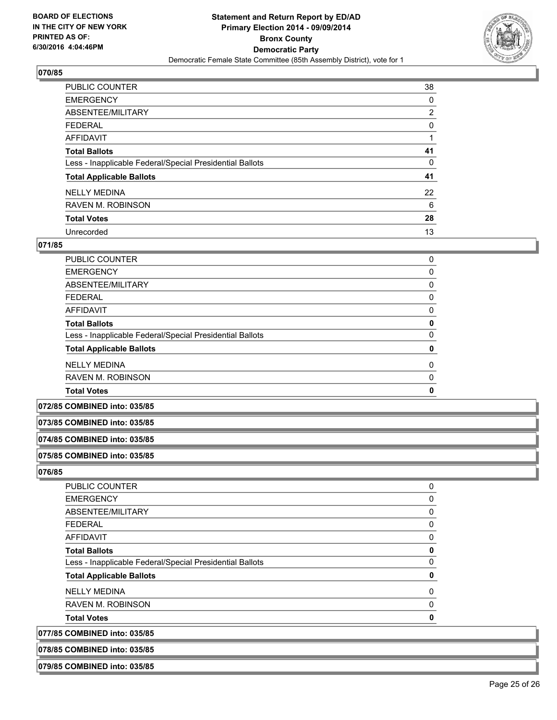

| PUBLIC COUNTER                                           | 38             |
|----------------------------------------------------------|----------------|
| <b>EMERGENCY</b>                                         | 0              |
| ABSENTEE/MILITARY                                        | $\overline{2}$ |
| <b>FEDERAL</b>                                           | 0              |
| <b>AFFIDAVIT</b>                                         |                |
| <b>Total Ballots</b>                                     | 41             |
| Less - Inapplicable Federal/Special Presidential Ballots | 0              |
| <b>Total Applicable Ballots</b>                          | 41             |
| <b>NELLY MEDINA</b>                                      | 22             |
| <b>RAVEN M. ROBINSON</b>                                 | 6              |
| <b>Total Votes</b>                                       | 28             |
| Unrecorded                                               | 13             |

#### **071/85**

| <b>RAVEN M. ROBINSON</b>                                 | 0 |
|----------------------------------------------------------|---|
| <b>NELLY MEDINA</b>                                      | 0 |
| <b>Total Applicable Ballots</b>                          | 0 |
| Less - Inapplicable Federal/Special Presidential Ballots | 0 |
| <b>Total Ballots</b>                                     | 0 |
| AFFIDAVIT                                                | 0 |
| <b>FEDERAL</b>                                           | 0 |
| ABSENTEE/MILITARY                                        | 0 |
| <b>EMERGENCY</b>                                         | 0 |
| <b>PUBLIC COUNTER</b>                                    | 0 |

## **072/85 COMBINED into: 035/85**

#### **073/85 COMBINED into: 035/85**

#### **074/85 COMBINED into: 035/85**

#### **075/85 COMBINED into: 035/85**

**076/85** 

| PUBLIC COUNTER                                           | 0 |
|----------------------------------------------------------|---|
| <b>EMERGENCY</b>                                         | 0 |
| ABSENTEE/MILITARY                                        | 0 |
| <b>FEDERAL</b>                                           | 0 |
| AFFIDAVIT                                                | 0 |
| <b>Total Ballots</b>                                     | 0 |
| Less - Inapplicable Federal/Special Presidential Ballots | 0 |
| <b>Total Applicable Ballots</b>                          | 0 |
| <b>NELLY MEDINA</b>                                      | 0 |
| <b>RAVEN M. ROBINSON</b>                                 | 0 |
| <b>Total Votes</b>                                       | 0 |
| 077/85 COMBINED into: 035/85                             |   |
| 078/85 COMBINED into: 035/85                             |   |

#### **079/85 COMBINED into: 035/85**